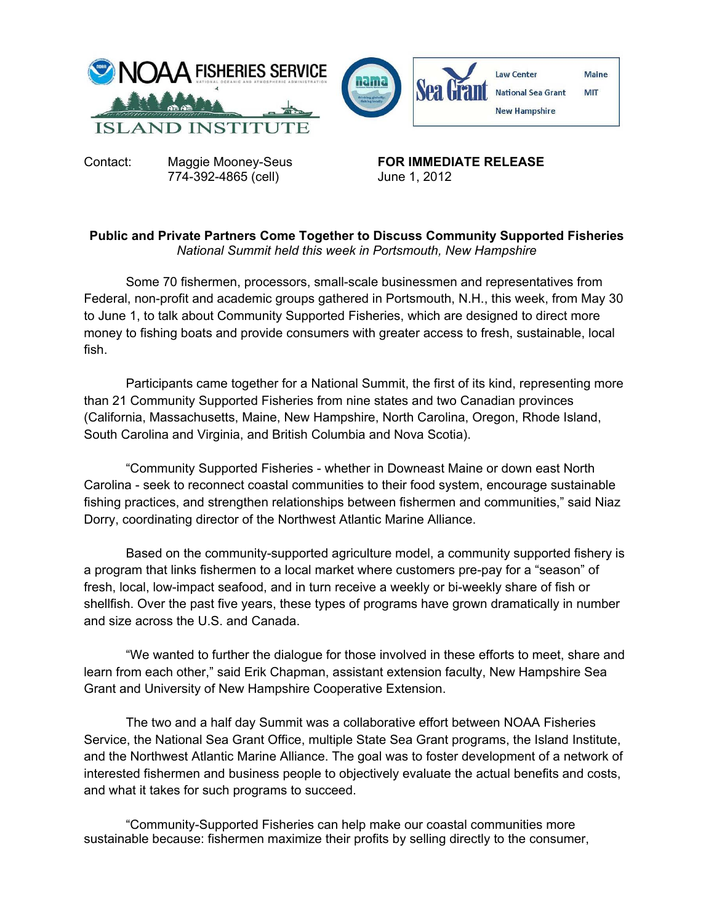

Contact: Maggie Mooney-Seus **FOR IMMEDIATE RELEASE** 774-392-4865 (cell) June 1, 2012

## **Public and Private Partners Come Together to Discuss Community Supported Fisheries**  *National Summit held this week in Portsmouth, New Hampshire*

Some 70 fishermen, processors, small-scale businessmen and representatives from Federal, non-profit and academic groups gathered in Portsmouth, N.H., this week, from May 30 to June 1, to talk about Community Supported Fisheries, which are designed to direct more money to fishing boats and provide consumers with greater access to fresh, sustainable, local fish.

Participants came together for a National Summit, the first of its kind, representing more than 21 Community Supported Fisheries from nine states and two Canadian provinces (California, Massachusetts, Maine, New Hampshire, North Carolina, Oregon, Rhode Island, South Carolina and Virginia, and British Columbia and Nova Scotia).

"Community Supported Fisheries - whether in Downeast Maine or down east North Carolina - seek to reconnect coastal communities to their food system, encourage sustainable fishing practices, and strengthen relationships between fishermen and communities," said Niaz Dorry, coordinating director of the Northwest Atlantic Marine Alliance.

Based on the community-supported agriculture model, a community supported fishery is a program that links fishermen to a local market where customers pre-pay for a "season" of fresh, local, low-impact seafood, and in turn receive a weekly or bi-weekly share of fish or shellfish. Over the past five years, these types of programs have grown dramatically in number and size across the U.S. and Canada.

"We wanted to further the dialogue for those involved in these efforts to meet, share and learn from each other," said Erik Chapman, assistant extension faculty, New Hampshire Sea Grant and University of New Hampshire Cooperative Extension.

The two and a half day Summit was a collaborative effort between NOAA Fisheries Service, the National Sea Grant Office, multiple State Sea Grant programs, the Island Institute, and the Northwest Atlantic Marine Alliance. The goal was to foster development of a network of interested fishermen and business people to objectively evaluate the actual benefits and costs, and what it takes for such programs to succeed.

 "Community-Supported Fisheries can help make our coastal communities more sustainable because: fishermen maximize their profits by selling directly to the consumer,